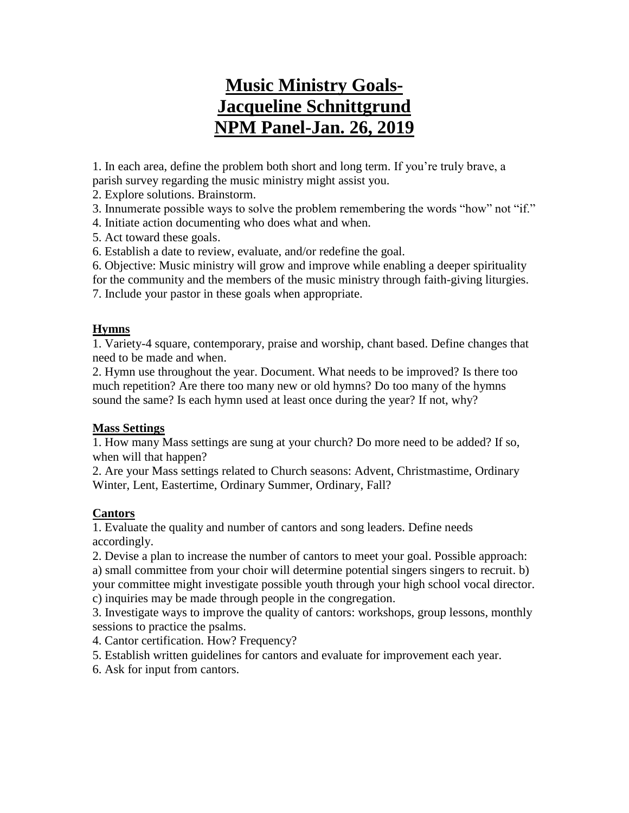# **Music Ministry Goals-Jacqueline Schnittgrund NPM Panel-Jan. 26, 2019**

1. In each area, define the problem both short and long term. If you're truly brave, a parish survey regarding the music ministry might assist you.

2. Explore solutions. Brainstorm.

3. Innumerate possible ways to solve the problem remembering the words "how" not "if."

4. Initiate action documenting who does what and when.

5. Act toward these goals.

6. Establish a date to review, evaluate, and/or redefine the goal.

6. Objective: Music ministry will grow and improve while enabling a deeper spirituality

for the community and the members of the music ministry through faith-giving liturgies.

7. Include your pastor in these goals when appropriate.

#### **Hymns**

1. Variety-4 square, contemporary, praise and worship, chant based. Define changes that need to be made and when.

2. Hymn use throughout the year. Document. What needs to be improved? Is there too much repetition? Are there too many new or old hymns? Do too many of the hymns sound the same? Is each hymn used at least once during the year? If not, why?

## **Mass Settings**

1. How many Mass settings are sung at your church? Do more need to be added? If so, when will that happen?

2. Are your Mass settings related to Church seasons: Advent, Christmastime, Ordinary Winter, Lent, Eastertime, Ordinary Summer, Ordinary, Fall?

## **Cantors**

1. Evaluate the quality and number of cantors and song leaders. Define needs accordingly.

2. Devise a plan to increase the number of cantors to meet your goal. Possible approach:

a) small committee from your choir will determine potential singers singers to recruit. b) your committee might investigate possible youth through your high school vocal director. c) inquiries may be made through people in the congregation.

3. Investigate ways to improve the quality of cantors: workshops, group lessons, monthly sessions to practice the psalms.

4. Cantor certification. How? Frequency?

5. Establish written guidelines for cantors and evaluate for improvement each year.

6. Ask for input from cantors.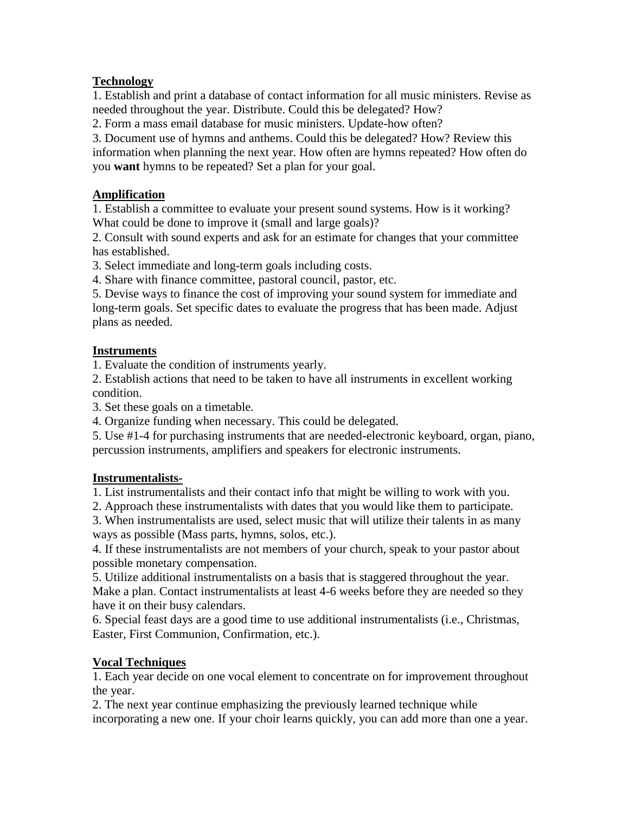## **Technology**

1. Establish and print a database of contact information for all music ministers. Revise as needed throughout the year. Distribute. Could this be delegated? How?

2. Form a mass email database for music ministers. Update-how often?

3. Document use of hymns and anthems. Could this be delegated? How? Review this information when planning the next year. How often are hymns repeated? How often do you **want** hymns to be repeated? Set a plan for your goal.

## **Amplification**

1. Establish a committee to evaluate your present sound systems. How is it working? What could be done to improve it (small and large goals)?

2. Consult with sound experts and ask for an estimate for changes that your committee has established.

3. Select immediate and long-term goals including costs.

4. Share with finance committee, pastoral council, pastor, etc.

5. Devise ways to finance the cost of improving your sound system for immediate and long-term goals. Set specific dates to evaluate the progress that has been made. Adjust plans as needed.

## **Instruments**

1. Evaluate the condition of instruments yearly.

2. Establish actions that need to be taken to have all instruments in excellent working condition.

3. Set these goals on a timetable.

4. Organize funding when necessary. This could be delegated.

5. Use #1-4 for purchasing instruments that are needed-electronic keyboard, organ, piano, percussion instruments, amplifiers and speakers for electronic instruments.

## **Instrumentalists-**

1. List instrumentalists and their contact info that might be willing to work with you.

2. Approach these instrumentalists with dates that you would like them to participate.

3. When instrumentalists are used, select music that will utilize their talents in as many ways as possible (Mass parts, hymns, solos, etc.).

4. If these instrumentalists are not members of your church, speak to your pastor about possible monetary compensation.

5. Utilize additional instrumentalists on a basis that is staggered throughout the year. Make a plan. Contact instrumentalists at least 4-6 weeks before they are needed so they have it on their busy calendars.

6. Special feast days are a good time to use additional instrumentalists (i.e., Christmas, Easter, First Communion, Confirmation, etc.).

# **Vocal Techniques**

1. Each year decide on one vocal element to concentrate on for improvement throughout the year.

2. The next year continue emphasizing the previously learned technique while incorporating a new one. If your choir learns quickly, you can add more than one a year.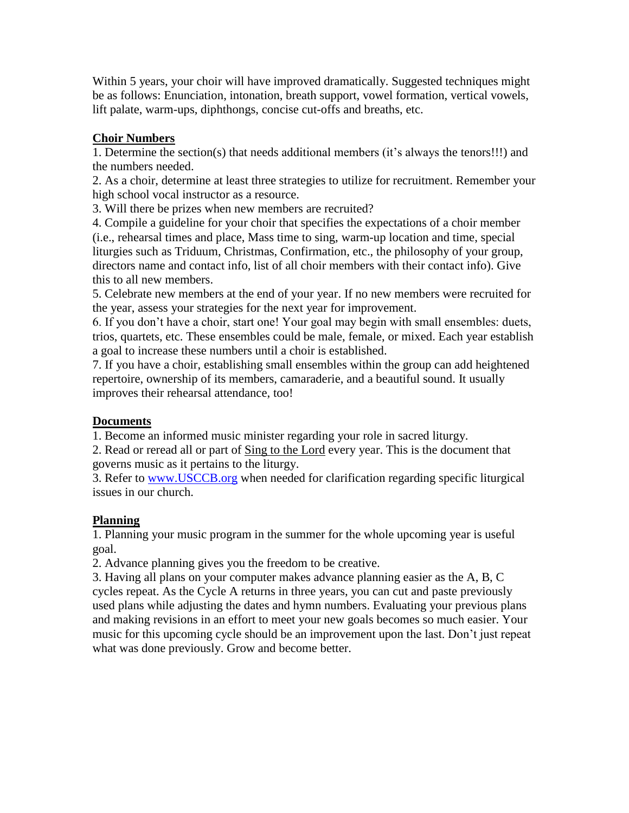Within 5 years, your choir will have improved dramatically. Suggested techniques might be as follows: Enunciation, intonation, breath support, vowel formation, vertical vowels, lift palate, warm-ups, diphthongs, concise cut-offs and breaths, etc.

## **Choir Numbers**

1. Determine the section(s) that needs additional members (it's always the tenors!!!) and the numbers needed.

2. As a choir, determine at least three strategies to utilize for recruitment. Remember your high school vocal instructor as a resource.

3. Will there be prizes when new members are recruited?

4. Compile a guideline for your choir that specifies the expectations of a choir member (i.e., rehearsal times and place, Mass time to sing, warm-up location and time, special liturgies such as Triduum, Christmas, Confirmation, etc., the philosophy of your group, directors name and contact info, list of all choir members with their contact info). Give this to all new members.

5. Celebrate new members at the end of your year. If no new members were recruited for the year, assess your strategies for the next year for improvement.

6. If you don't have a choir, start one! Your goal may begin with small ensembles: duets, trios, quartets, etc. These ensembles could be male, female, or mixed. Each year establish a goal to increase these numbers until a choir is established.

7. If you have a choir, establishing small ensembles within the group can add heightened repertoire, ownership of its members, camaraderie, and a beautiful sound. It usually improves their rehearsal attendance, too!

## **Documents**

1. Become an informed music minister regarding your role in sacred liturgy.

2. Read or reread all or part of Sing to the Lord every year. This is the document that governs music as it pertains to the liturgy.

3. Refer to [www.USCCB.org](http://www.usccb.org/) when needed for clarification regarding specific liturgical issues in our church.

# **Planning**

1. Planning your music program in the summer for the whole upcoming year is useful goal.

2. Advance planning gives you the freedom to be creative.

3. Having all plans on your computer makes advance planning easier as the A, B, C cycles repeat. As the Cycle A returns in three years, you can cut and paste previously used plans while adjusting the dates and hymn numbers. Evaluating your previous plans and making revisions in an effort to meet your new goals becomes so much easier. Your music for this upcoming cycle should be an improvement upon the last. Don't just repeat what was done previously. Grow and become better.